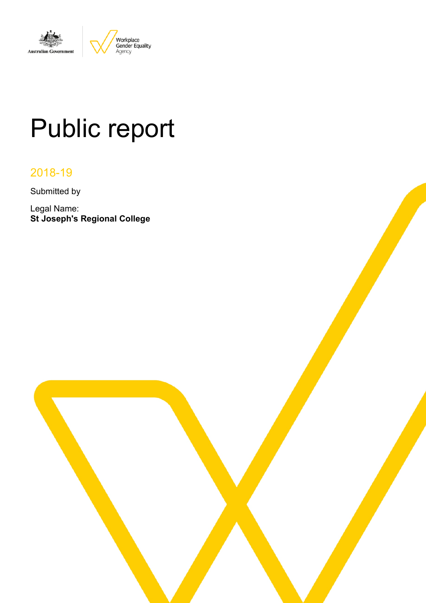

# Public report

# 2018-19

Submitted by

Legal Name: **St Joseph's Regional College**

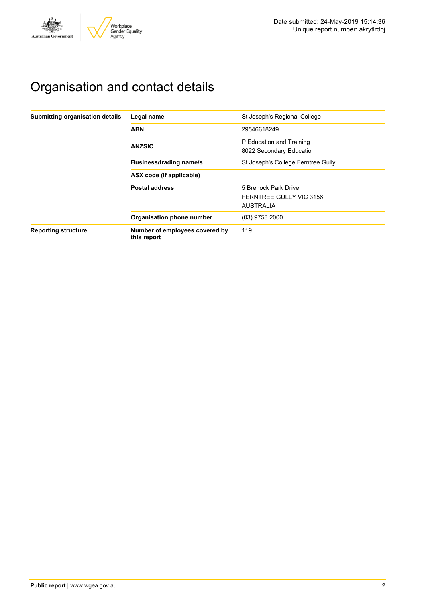

# Organisation and contact details

| Submitting organisation details | Legal name                                    | St Joseph's Regional College                                        |
|---------------------------------|-----------------------------------------------|---------------------------------------------------------------------|
|                                 | <b>ABN</b>                                    | 29546618249                                                         |
|                                 | <b>ANZSIC</b>                                 | P Education and Training<br>8022 Secondary Education                |
|                                 | <b>Business/trading name/s</b>                | St Joseph's College Ferntree Gully                                  |
|                                 | ASX code (if applicable)                      |                                                                     |
|                                 | <b>Postal address</b>                         | 5 Brenock Park Drive<br>FERNTREE GULLY VIC 3156<br><b>AUSTRALIA</b> |
|                                 | Organisation phone number                     | (03) 9758 2000                                                      |
| <b>Reporting structure</b>      | Number of employees covered by<br>this report | 119                                                                 |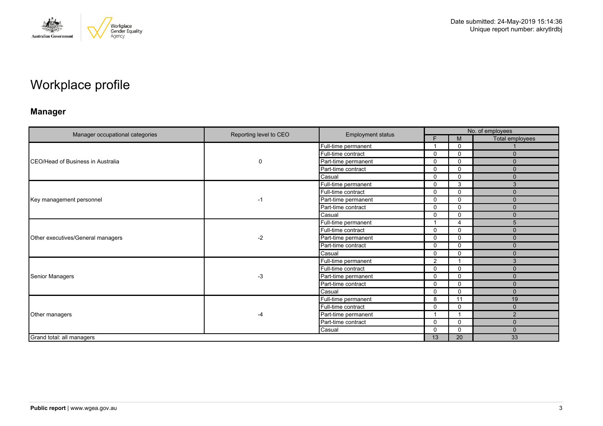

# Workplace profile

# **Manager**

|                                   | Reporting level to CEO | <b>Employment status</b> |             | No. of employees |                 |
|-----------------------------------|------------------------|--------------------------|-------------|------------------|-----------------|
| Manager occupational categories   |                        |                          | F           | M                | Total employees |
|                                   |                        | Full-time permanent      | -4          | $\Omega$         |                 |
|                                   |                        | Full-time contract       | 0           | $\mathbf 0$      | $\Omega$        |
| CEO/Head of Business in Australia | 0                      | Part-time permanent      | $\Omega$    | $\mathbf{0}$     | $\Omega$        |
|                                   |                        | Part-time contract       | 0           | $\mathbf 0$      | $\mathbf{0}$    |
|                                   |                        | Casual                   | $\Omega$    | $\mathbf 0$      | $\Omega$        |
|                                   |                        | Full-time permanent      | 0           | 3                | 3               |
|                                   |                        | Full-time contract       | 0           | $\mathbf{0}$     | $\Omega$        |
| Key management personnel          | -1                     | Part-time permanent      | 0           | $\mathbf 0$      | $\mathbf 0$     |
|                                   |                        | Part-time contract       | $\Omega$    | $\mathbf{0}$     | $\Omega$        |
|                                   |                        | Casual                   | 0           | $\mathbf{0}$     | $\Omega$        |
|                                   |                        | Full-time permanent      | 1           | $\overline{4}$   | 5               |
| Other executives/General managers | $-2$                   | Full-time contract       | 0           | $\mathbf{0}$     | $\Omega$        |
|                                   |                        | Part-time permanent      | $\Omega$    | $\mathbf{0}$     | $\Omega$        |
|                                   |                        | Part-time contract       | 0           | $\mathbf 0$      | $\Omega$        |
|                                   |                        | Casual                   | 0           | $\Omega$         | $\Omega$        |
|                                   |                        | Full-time permanent      | 2           |                  | 3               |
|                                   |                        | Full-time contract       | 0           | $\mathbf 0$      | $\Omega$        |
| Senior Managers                   | $-3$                   | Part-time permanent      | 0           | $\Omega$         | $\mathbf{0}$    |
|                                   |                        | Part-time contract       | $\mathbf 0$ | $\mathbf 0$      | $\Omega$        |
|                                   |                        | Casual                   | 0           | $\Omega$         | $\Omega$        |
|                                   |                        | Full-time permanent      | 8           | 11               | 19              |
|                                   |                        | Full-time contract       | $\Omega$    | $\mathbf{0}$     | $\Omega$        |
| Other managers                    | $-4$                   | Part-time permanent      | 1           |                  | $\overline{2}$  |
|                                   |                        | Part-time contract       | 0           | $\Omega$         | $\mathbf{0}$    |
|                                   |                        | Casual                   | $\Omega$    | $\mathbf{0}$     | $\Omega$        |
| Grand total: all managers         |                        |                          | 13          | 20               | 33              |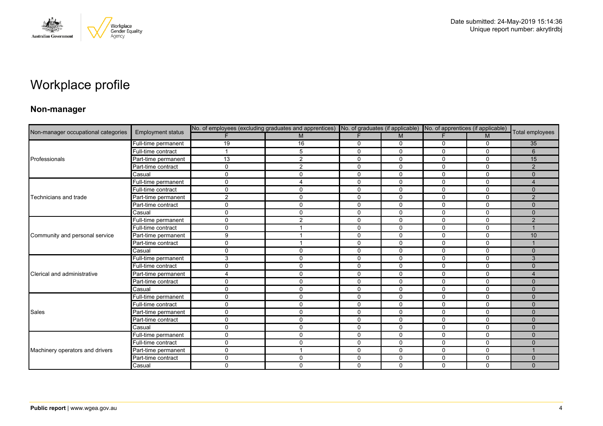

# Workplace profile

### **Non-manager**

| Non-manager occupational categories |                          | No. of employees (excluding graduates and apprentices) No. of graduates (if applicable) No. of apprentices (if applicable) |                         |              |              |              |              |                 |
|-------------------------------------|--------------------------|----------------------------------------------------------------------------------------------------------------------------|-------------------------|--------------|--------------|--------------|--------------|-----------------|
|                                     | <b>Employment status</b> |                                                                                                                            | M                       | F            | M            | F.           | M            | Total employees |
|                                     | Full-time permanent      | 19                                                                                                                         | 16                      | 0            | 0            | 0            | $\mathbf 0$  | 35              |
|                                     | Full-time contract       |                                                                                                                            | 5                       | $\mathbf 0$  | 0            | 0            | $\mathbf 0$  | 6               |
| Professionals                       | Part-time permanent      | 13                                                                                                                         | 2                       | $\mathbf 0$  | $\Omega$     | $\Omega$     | $\Omega$     | 15              |
|                                     | Part-time contract       | 0                                                                                                                          | 2                       | $\mathbf 0$  | $\mathbf 0$  | 0            | $\mathbf 0$  | $\overline{2}$  |
|                                     | Casual                   | $\Omega$                                                                                                                   | $\mathbf 0$             | $\mathbf 0$  | $\mathbf 0$  | 0            | $\mathbf 0$  | $\Omega$        |
|                                     | Full-time permanent      | $\Omega$                                                                                                                   | $\overline{4}$          | $\mathbf 0$  | $\mathbf 0$  | $\Omega$     | $\mathbf 0$  | $\overline{4}$  |
|                                     | Full-time contract       | $\Omega$                                                                                                                   | $\mathbf 0$             | 0            | $\mathbf 0$  | 0            | $\mathbf 0$  | $\mathbf{0}$    |
| Technicians and trade               | Part-time permanent      | 2                                                                                                                          | $\mathbf 0$             | $\mathbf 0$  | $\mathbf 0$  | 0            | $\mathbf 0$  | 2               |
|                                     | Part-time contract       | $\Omega$                                                                                                                   | $\mathbf 0$             | $\mathbf 0$  | $\mathbf 0$  | $\Omega$     | $\mathbf 0$  | $\Omega$        |
|                                     | Casual                   | $\mathbf{0}$                                                                                                               | $\mathbf 0$             | $\mathbf 0$  | $\mathbf 0$  | $\mathbf 0$  | $\mathbf 0$  | $\mathbf{0}$    |
|                                     | Full-time permanent      | $\Omega$                                                                                                                   | 2                       | 0            | 0            | $\Omega$     | $\mathbf{0}$ | 2               |
| Community and personal service      | Full-time contract       | $\Omega$                                                                                                                   |                         | $\mathbf 0$  | $\Omega$     | $\Omega$     | $\mathbf 0$  |                 |
|                                     | Part-time permanent      | 9                                                                                                                          |                         | $\mathbf 0$  | $\mathbf 0$  | $\mathbf 0$  | $\mathbf 0$  | 10              |
|                                     | Part-time contract       | $\Omega$                                                                                                                   | $\overline{\mathbf{1}}$ | 0            | 0            | 0            | 0            |                 |
|                                     | Casual                   | $\Omega$                                                                                                                   | $\Omega$                | $\Omega$     | $\Omega$     | $\Omega$     | $\Omega$     | $\Omega$        |
|                                     | Full-time permanent      | 3                                                                                                                          | $\mathbf 0$             | $\mathbf 0$  | $\mathbf 0$  | $\mathbf{0}$ | $\mathbf 0$  | 3               |
|                                     | Full-time contract       | $\Omega$                                                                                                                   | $\mathbf 0$             | $\mathbf 0$  | 0            | 0            | $\mathbf 0$  | $\Omega$        |
| Clerical and administrative         | Part-time permanent      |                                                                                                                            | $\mathbf 0$             | $\mathbf 0$  | $\Omega$     | $\Omega$     | $\mathbf 0$  | $\Delta$        |
|                                     | Part-time contract       | 0                                                                                                                          | $\mathbf 0$             | $\mathbf 0$  | $\mathbf 0$  | $\mathbf 0$  | $\mathbf 0$  | $\mathbf{0}$    |
|                                     | Casual                   | $\Omega$                                                                                                                   | $\mathbf 0$             | 0            | $\mathbf 0$  | 0            | $\mathbf 0$  | $\mathbf{0}$    |
|                                     | Full-time permanent      | $\Omega$                                                                                                                   | $\mathbf{0}$            | $\mathbf 0$  | $\Omega$     | $\Omega$     | $\Omega$     | $\Omega$        |
| Sales                               | Full-time contract       | $\Omega$                                                                                                                   | $\mathbf 0$             | $\mathbf{0}$ | $\mathbf{0}$ | $\Omega$     | $\Omega$     | $\Omega$        |
|                                     | Part-time permanent      | $\Omega$                                                                                                                   | $\mathbf 0$             | $\mathbf 0$  | $\mathbf 0$  | 0            | 0            | $\mathbf{0}$    |
|                                     | Part-time contract       | $\Omega$                                                                                                                   | 0                       | $\mathbf 0$  | $\Omega$     | 0            | $\mathbf 0$  | $\Omega$        |
|                                     | Casual                   | $\Omega$                                                                                                                   | $\mathbf 0$             | $\mathbf 0$  | 0            | 0            | $\mathbf 0$  | $\Omega$        |
|                                     | Full-time permanent      | $\mathbf{0}$                                                                                                               | $\mathbf 0$             | $\mathbf 0$  | $\mathbf 0$  | 0            | 0            | $\mathbf{0}$    |
|                                     | Full-time contract       | 0                                                                                                                          | $\mathbf{0}$            | $\mathbf 0$  | $\Omega$     | 0            | $\Omega$     | $\Omega$        |
| Machinery operators and drivers     | Part-time permanent      | $\Omega$                                                                                                                   | $\overline{ }$          | $\mathbf 0$  | 0            | 0            | $\mathbf 0$  |                 |
|                                     | Part-time contract       | $\Omega$                                                                                                                   | $\mathbf 0$             | $\mathbf 0$  | $\mathbf 0$  | $\mathbf 0$  | $\mathbf 0$  | $\mathbf{0}$    |
|                                     | Casual                   | $\Omega$                                                                                                                   | $\Omega$                | $\mathbf 0$  | $\Omega$     | $\Omega$     | $\mathbf 0$  | $\Omega$        |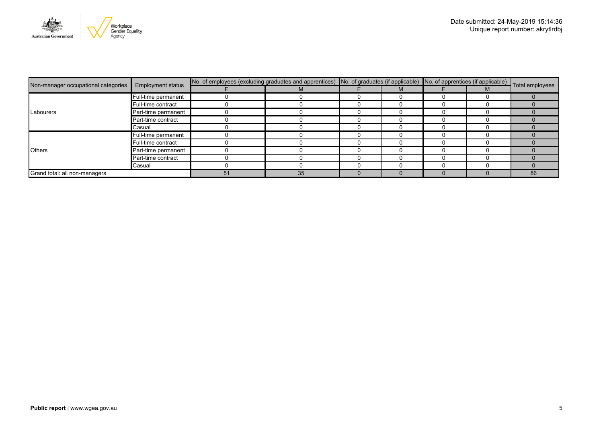

|                                                                 |                     | No. of employees (excluding graduates and apprentices) No. of graduates (if applicable) No. of apprentices (if applicable) Total employees |    |   |  |    |
|-----------------------------------------------------------------|---------------------|--------------------------------------------------------------------------------------------------------------------------------------------|----|---|--|----|
| Non-manager occupational categories<br><b>Employment status</b> |                     |                                                                                                                                            | M  | M |  |    |
|                                                                 | Full-time permanent |                                                                                                                                            |    |   |  |    |
|                                                                 | Full-time contract  |                                                                                                                                            |    |   |  |    |
| Labourers                                                       | Part-time permanent |                                                                                                                                            |    |   |  |    |
|                                                                 | Part-time contract  |                                                                                                                                            |    |   |  |    |
|                                                                 | Casual              |                                                                                                                                            |    |   |  |    |
|                                                                 | Full-time permanent |                                                                                                                                            |    |   |  |    |
|                                                                 | Full-time contract  |                                                                                                                                            |    |   |  |    |
| <b>Others</b>                                                   | Part-time permanent |                                                                                                                                            |    |   |  |    |
|                                                                 | Part-time contract  |                                                                                                                                            |    |   |  |    |
|                                                                 | Casual              |                                                                                                                                            |    |   |  |    |
| Grand total: all non-managers                                   |                     | 51                                                                                                                                         | 35 |   |  | 86 |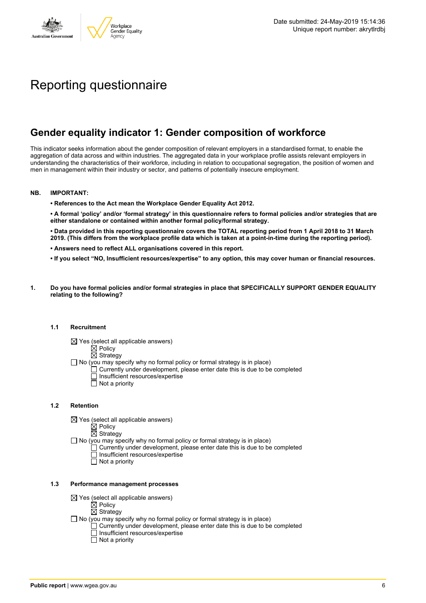

# Reporting questionnaire

# **Gender equality indicator 1: Gender composition of workforce**

This indicator seeks information about the gender composition of relevant employers in a standardised format, to enable the aggregation of data across and within industries. The aggregated data in your workplace profile assists relevant employers in understanding the characteristics of their workforce, including in relation to occupational segregation, the position of women and men in management within their industry or sector, and patterns of potentially insecure employment.

#### **NB. IMPORTANT:**

**• References to the Act mean the Workplace Gender Equality Act 2012.**

• A formal 'policy' and/or 'formal strategy' in this questionnaire refers to formal policies and/or strategies that are **either standalone or contained within another formal policy/formal strategy.**

• Data provided in this reporting questionnaire covers the TOTAL reporting period from 1 April 2018 to 31 March 2019. (This differs from the workplace profile data which is taken at a point-in-time during the reporting period).

- **• Answers need to reflect ALL organisations covered in this report.**
- . If you select "NO, Insufficient resources/expertise" to any option, this may cover human or financial resources.
- **1. Do you have formal policies and/or formal strategies in place that SPECIFICALLY SUPPORT GENDER EQUALITY relating to the following?**

#### **1.1 Recruitment**

- $\boxtimes$  Yes (select all applicable answers)
	- $\mathbb{\dot{Z}}$  Policy
	- $\boxtimes$  Strategy
- No (you may specify why no formal policy or formal strategy is in place)
	- $\Box$  Currently under development, please enter date this is due to be completed
		- $\overline{\Box}$  Insufficient resources/expertise
		- $\Box$  Not a priority

#### **1.2 Retention**

- $\boxtimes$  Yes (select all applicable answers)
	- $\boxtimes$  Policy
	- $\boxtimes$  Strategy
- No (you may specify why no formal policy or formal strategy is in place)
	- $\Box$  Currently under development, please enter date this is due to be completed
		- Insufficient resources/expertise
		- Not a priority

#### **1.3 Performance management processes**

- $\boxtimes$  Yes (select all applicable answers)
	- $\boxtimes$  Policy
	- $\boxtimes$  Strategy
- $\Box$  No (you may specify why no formal policy or formal strategy is in place)
	- $\Box$  Currently under development, please enter date this is due to be completed
	- $\Box$  Insufficient resources/expertise
	- $\Box$  Not a priority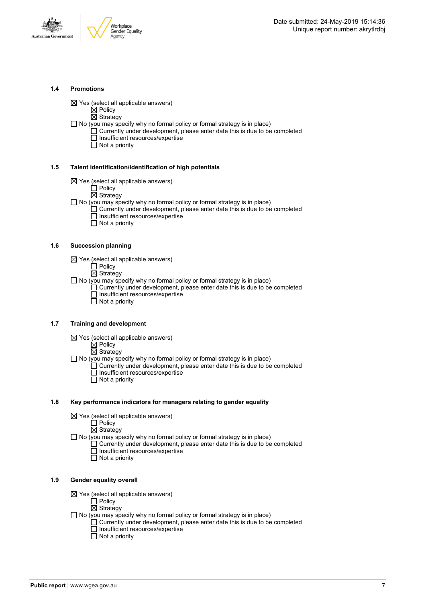



#### **1.4 Promotions**

 $\boxtimes$  Yes (select all applicable answers)

 $\boxtimes$  Policy

- $\overline{\boxtimes}$  Strategy
- $\Box$  No (you may specify why no formal policy or formal strategy is in place)  $\Box$  Currently under development, please enter date this is due to be completed □ Insufficient resources/expertise
	- $\overline{\Box}$  Not a priority

#### **1.5 Talent identification/identification of high potentials**

- $\boxtimes$  Yes (select all applicable answers)
	- Policy
	- $\overline{\boxtimes}$  Strategy
- $\Box$  No (you may specify why no formal policy or formal strategy is in place)
	- Currently under development, please enter date this is due to be completed Insufficient resources/expertise
		- $\overline{\Box}$  Not a priority

#### **1.6 Succession planning**

- $\boxtimes$  Yes (select all applicable answers)
	- $\Box$  Policy
	- $\overline{\boxtimes}$  Strategy

 $\Box$  No (you may specify why no formal policy or formal strategy is in place)

- $\Box$  Currently under development, please enter date this is due to be completed Insufficient resources/expertise
- Not a priority

#### **1.7 Training and development**

- $\boxtimes$  Yes (select all applicable answers)
	- $\overleftrightarrow{\boxtimes}$  Policy
		- $\boxtimes$  Strategy
- $\Box$  No (you may specify why no formal policy or formal strategy is in place)
	- Currently under development, please enter date this is due to be completed Insufficient resources/expertise  $\Box$  Not a priority
		-

#### **1.8 Key performance indicators for managers relating to gender equality**

- $\boxtimes$  Yes (select all applicable answers)
	- □ Policy
	- $\boxtimes$  Strategy
- $\Box$  No (you may specify why no formal policy or formal strategy is in place)
	- $\Box$  Currently under development, please enter date this is due to be completed Insufficient resources/expertise
		- Not a priority

#### **1.9 Gender equality overall**

- $\boxtimes$  Yes (select all applicable answers)
	- $\Box$  Policy
	- $\boxtimes$  Strategy
- $\Box$  No (you may specify why no formal policy or formal strategy is in place)
	- $\Box$  Currently under development, please enter date this is due to be completed □ Insufficient resources/expertise
		- $\Box$  Not a priority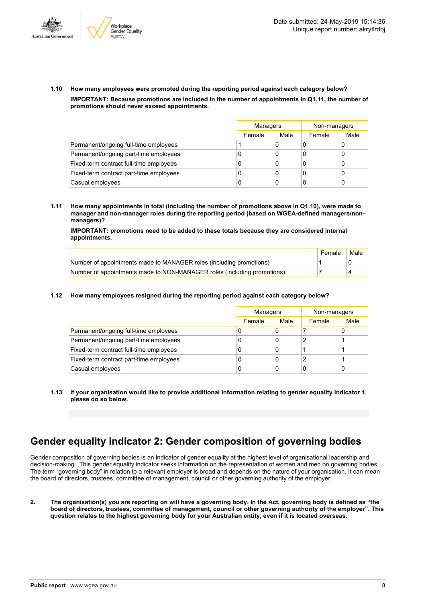



**1.10 How many employees were promoted during the reporting period against each category below? IMPORTANT: Because promotions are included in the number of appointments in Q1.11, the number of promotions should never exceed appointments.**

|                                         | Managers |      | Non-managers |      |
|-----------------------------------------|----------|------|--------------|------|
|                                         | Female   | Male | Female       | Male |
| Permanent/ongoing full-time employees   |          | 0    |              |      |
| Permanent/ongoing part-time employees   | U        | 0    | C            |      |
| Fixed-term contract full-time employees | U        | 0    | C            |      |
| Fixed-term contract part-time employees | 0        | 0    | C            |      |
| Casual employees                        | 0        | 0    |              |      |

**1.11 How many appointments in total (including the number of promotions above in Q1.10), were made to manager and non-manager roles during the reporting period (based on WGEA-defined managers/nonmanagers)?**

**IMPORTANT: promotions need to be added to these totals because they are considered internal appointments.**

|                                                                         | Female | Male |
|-------------------------------------------------------------------------|--------|------|
| Number of appointments made to MANAGER roles (including promotions)     |        |      |
| Number of appointments made to NON-MANAGER roles (including promotions) |        |      |

#### **1.12 How many employees resigned during the reporting period against each category below?**

|                                         |        | Managers |        | Non-managers |
|-----------------------------------------|--------|----------|--------|--------------|
|                                         | Female | Male     | Female | Male         |
| Permanent/ongoing full-time employees   | υ      | 0        |        | 0            |
| Permanent/ongoing part-time employees   | U      | 0        | 2      |              |
| Fixed-term contract full-time employees | υ      | 0        |        |              |
| Fixed-term contract part-time employees |        | 0        |        |              |
| Casual employees                        | U      | 0        | 0      | 0            |

**1.13 If your organisation would like to provide additional information relating to gender equality indicator 1, please do so below.**

# **Gender equality indicator 2: Gender composition of governing bodies**

Gender composition of governing bodies is an indicator of gender equality at the highest level of organisational leadership and decision-making. This gender equality indicator seeks information on the representation of women and men on governing bodies. The term "governing body" in relation to a relevant employer is broad and depends on the nature of your organisation. It can mean the board of directors, trustees, committee of management, council or other governing authority of the employer.

2. The organisation(s) you are reporting on will have a governing body. In the Act, governing body is defined as "the board of directors, trustees, committee of management, council or other governing authority of the employer". This question relates to the highest governing body for your Australian entity, even if it is located overseas.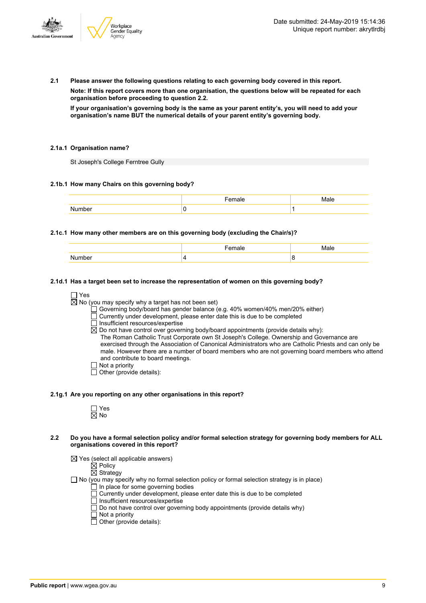

**2.1 Please answer the following questions relating to each governing body covered in this report.**

**Note: If this report covers more than one organisation, the questions below will be repeated for each organisation before proceeding to question 2.2.**

If your organisation's governing body is the same as your parent entity's, you will need to add your **organisation's name BUT the numerical details of your parent entity's governing body.**

#### **2.1a.1 Organisation name?**

St Joseph's College Ferntree Gully

#### **2.1b.1 How many Chairs on this governing body?**

#### **2.1c.1 How many other members are on this governing body (excluding the Chair/s)?**

#### **2.1d.1 Has a target been set to increase the representation of women on this governing body?**

 $\Box$  Yes

 $\overline{\boxtimes}$  No (you may specify why a target has not been set)

- Governing body/board has gender balance (e.g. 40% women/40% men/20% either)
- $\Box$  Currently under development, please enter date this is due to be completed
- $\Box$  Insufficient resources/expertise
- $\boxtimes$  Do not have control over governing body/board appointments (provide details why):
- The Roman Catholic Trust Corporate own St Joseph's College. Ownership and Governance are exercised through the Association of Canonical Administrators who are Catholic Priests and can only be male. However there are a number of board members who are not governing board members who attend and contribute to board meetings.
- $\Box$  Not a priority
- $\overline{\Box}$  Other (provide details):

#### **2.1g.1 Are you reporting on any other organisations in this report?**

- Yes No
- 2.2 Do you have a formal selection policy and/or formal selection strategy for governing body members for ALL **organisations covered in this report?**
	- $\boxtimes$  Yes (select all applicable answers)
		- $\boxtimes$  Policy
		- $\overline{\boxtimes}$  Strategy
	- $\Box$  No (you may specify why no formal selection policy or formal selection strategy is in place)
		- In place for some governing bodies
		- Currently under development, please enter date this is due to be completed
		- $\overline{\Box}$  Insufficient resources/expertise
		- $\Box$  Do not have control over governing body appointments (provide details why)
		- $\Box$  Not a priority
		- $\Box$  Other (provide details):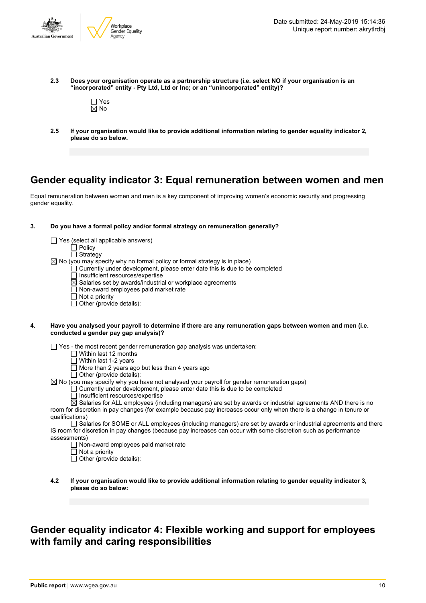

**2.3 Does your organisation operate as a partnership structure (i.e. select NO if your organisation is an "incorporated" entity - Pty Ltd, Ltd or Inc; or an "unincorporated" entity)?**



**2.5 If your organisation would like to provide additional information relating to gender equality indicator 2, please do so below.**

### **Gender equality indicator 3: Equal remuneration between women and men**

Equal remuneration between women and men is a key component of improving women's economic security and progressing gender equality.

#### **3. Do you have a formal policy and/or formal strategy on remuneration generally?**

|    | Yes (select all applicable answers)                                                                                                                        |  |
|----|------------------------------------------------------------------------------------------------------------------------------------------------------------|--|
|    | $\Box$ Policy                                                                                                                                              |  |
|    | $\Box$ Strategy                                                                                                                                            |  |
|    | $\boxtimes$ No (you may specify why no formal policy or formal strategy is in place)                                                                       |  |
|    | Currently under development, please enter date this is due to be completed                                                                                 |  |
|    | Insufficient resources/expertise                                                                                                                           |  |
|    | $\boxtimes$ Salaries set by awards/industrial or workplace agreements                                                                                      |  |
|    | Non-award employees paid market rate                                                                                                                       |  |
|    | Not a priority                                                                                                                                             |  |
|    | Other (provide details):                                                                                                                                   |  |
|    |                                                                                                                                                            |  |
| 4. | Have you analysed your payroll to determine if there are any remuneration gaps between women and men (i.e.<br>conducted a gender pay gap analysis)?        |  |
|    | $\Box$ Yes - the most recent gender remuneration gap analysis was undertaken:                                                                              |  |
|    | Within last 12 months                                                                                                                                      |  |
|    | Within last 1-2 years                                                                                                                                      |  |
|    | More than 2 years ago but less than 4 years ago                                                                                                            |  |
|    | $\Box$ Other (provide details):                                                                                                                            |  |
|    | $\boxtimes$ No (you may specify why you have not analysed your payroll for gender remuneration gaps)                                                       |  |
|    | Currently under development, please enter date this is due to be completed                                                                                 |  |
|    | Insufficient resources/expertise<br>$\boxtimes$ Salaries for ALL employees (including managers) are set by awards or industrial agreements AND there is no |  |

room for discretion in pay changes (for example because pay increases occur only when there is a change in tenure or qualifications)

Salaries for SOME or ALL employees (including managers) are set by awards or industrial agreements and there IS room for discretion in pay changes (because pay increases can occur with some discretion such as performance assessments)

- $\Box$  Non-award employees paid market rate
- $\Box$  Not a priority

 $\Box$  Other (provide details):

**4.2 If your organisation would like to provide additional information relating to gender equality indicator 3, please do so below:**

# **Gender equality indicator 4: Flexible working and support for employees with family and caring responsibilities**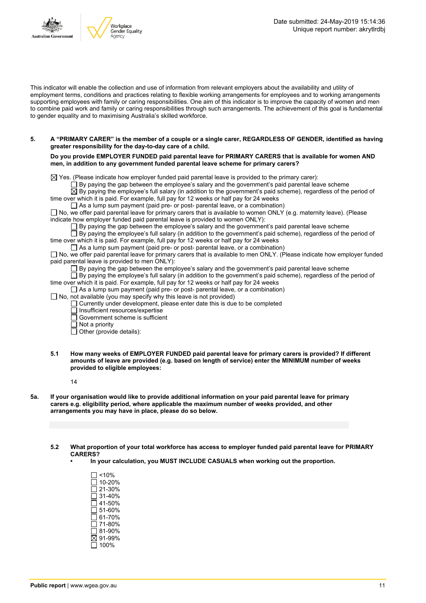

This indicator will enable the collection and use of information from relevant employers about the availability and utility of employment terms, conditions and practices relating to flexible working arrangements for employees and to working arrangements supporting employees with family or caring responsibilities. One aim of this indicator is to improve the capacity of women and men to combine paid work and family or caring responsibilities through such arrangements. The achievement of this goal is fundamental to gender equality and to maximising Australia's skilled workforce.

#### 5. A "PRIMARY CARER" is the member of a couple or a single carer, REGARDLESS OF GENDER, identified as having **greater responsibility for the day-to-day care of a child.**

**Do you provide EMPLOYER FUNDED paid parental leave for PRIMARY CARERS that is available for women AND men, in addition to any government funded parental leave scheme for primary carers?**

 $\boxtimes$  Yes. (Please indicate how employer funded paid parental leave is provided to the primary carer):

 $\Box$  By paying the gap between the employee's salary and the government's paid parental leave scheme

 $\overline{\boxtimes}$  By paying the employee's full salary (in addition to the government's paid scheme), regardless of the period of time over which it is paid. For example, full pay for 12 weeks or half pay for 24 weeks

 $\Box$  As a lump sum payment (paid pre- or post- parental leave, or a combination)

 $\Box$  No, we offer paid parental leave for primary carers that is available to women ONLY (e.g. maternity leave). (Please indicate how employer funded paid parental leave is provided to women ONLY):

By paying the gap between the employee's salary and the government's paid parental leave scheme

By paying the employee's full salary (in addition to the government's paid scheme), regardless of the period of time over which it is paid. For example, full pay for 12 weeks or half pay for 24 weeks

 $\Box$  As a lump sum payment (paid pre- or post- parental leave, or a combination)

 $\square$  No, we offer paid parental leave for primary carers that is available to men ONLY. (Please indicate how employer funded paid parental leave is provided to men ONLY):

 $\Box$  By paying the gap between the employee's salary and the government's paid parental leave scheme

 $\Box$  By paying the employee's full salary (in addition to the government's paid scheme), regardless of the period of time over which it is paid. For example, full pay for 12 weeks or half pay for 24 weeks

 $\Box$  As a lump sum payment (paid pre- or post- parental leave, or a combination)

 $\Box$  No, not available (you may specify why this leave is not provided)

 $\Box$  Currently under development, please enter date this is due to be completed

Insufficient resources/expertise

Government scheme is sufficient

 $\overline{\Pi}$  Not a priority

 $\Box$  Other (provide details):

**5.1 How many weeks of EMPLOYER FUNDED paid parental leave for primary carers is provided? If different amounts of leave are provided (e.g. based on length of service) enter the MINIMUM number of weeks provided to eligible employees:**

14

5a. If your organisation would like to provide additional information on your paid parental leave for primary **carers e.g. eligibility period, where applicable the maximum number of weeks provided, and other arrangements you may have in place, please do so below.**

**5.2 What proportion of your total workforce has access to employer funded paid parental leave for PRIMARY CARERS?**

- **• In your calculation, you MUST INCLUDE CASUALS when working out the proportion.**
	- <10% 10-20% 21-30%  $\Box$  31-40% 41-50% 51-60%  $\overline{\square}$  61-70%  $\Box$  71-80%  $\overline{\square}$  81-90% 91-99%  $\overline{\square}$  100%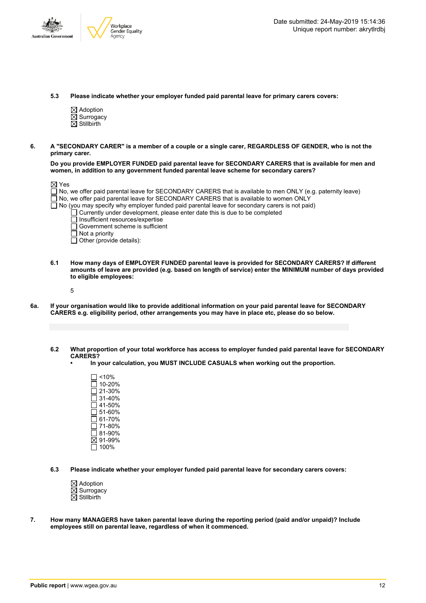



**5.3 Please indicate whether your employer funded paid parental leave for primary carers covers:**

- $\boxtimes$  Adoption  $\overline{\boxtimes}$  Surrogacy  $\boxtimes$  Stillbirth
- 6. A "SECONDARY CARER" is a member of a couple or a single carer. REGARDLESS OF GENDER, who is not the **primary carer.**

**Do you provide EMPLOYER FUNDED paid parental leave for SECONDARY CARERS that is available for men and women, in addition to any government funded parental leave scheme for secondary carers?**

| $\boxtimes$ Yes |                                                                                                                   |
|-----------------|-------------------------------------------------------------------------------------------------------------------|
|                 | $\Box$ No, we offer paid parental leave for SECONDARY CARERS that is available to men ONLY (e.g. paternity leave) |
|                 | $\Box$ No, we offer paid parental leave for SECONDARY CARERS that is available to women ONLY                      |
|                 | $\Box$ No (you may specify why employer funded paid parental leave for secondary carers is not paid)              |
|                 | $\Box$ Currently under development, please enter date this is due to be completed                                 |
|                 | $\Box$ Insufficient resources/expertise                                                                           |
|                 | $\Box$ Government scheme is sufficient                                                                            |
|                 | $\Box$ Not a priority                                                                                             |
|                 | $\Box$ Other (provide details):                                                                                   |

**6.1 How many days of EMPLOYER FUNDED parental leave is provided for SECONDARY CARERS? If different** amounts of leave are provided (e.g. based on length of service) enter the MINIMUM number of days provided **to eligible employees:**

5

- 6a. If your organisation would like to provide additional information on your paid parental leave for SECONDARY **CARERS e.g. eligibility period, other arrangements you may have in place etc, please do so below.**
	- 6.2 What proportion of your total workforce has access to employer funded paid parental leave for SECONDARY **CARERS?**
		- **• In your calculation, you MUST INCLUDE CASUALS when working out the proportion.**
			- $\Box$  <10%  $\overline{\Box}$  10-20% 21-30% 31-40% 41-50%  $\overline{\Box}$  51-60%  $\square$  61-70% 71-80% 81-90% 91-99%  $\square$  100%
	- **6.3 Please indicate whether your employer funded paid parental leave for secondary carers covers:**
		- $\boxtimes$  Adoption  $\overline{\boxtimes}$  Surrogacy  $\overline{\boxtimes}$  Stillbirth
- **7. How many MANAGERS have taken parental leave during the reporting period (paid and/or unpaid)? Include employees still on parental leave, regardless of when it commenced.**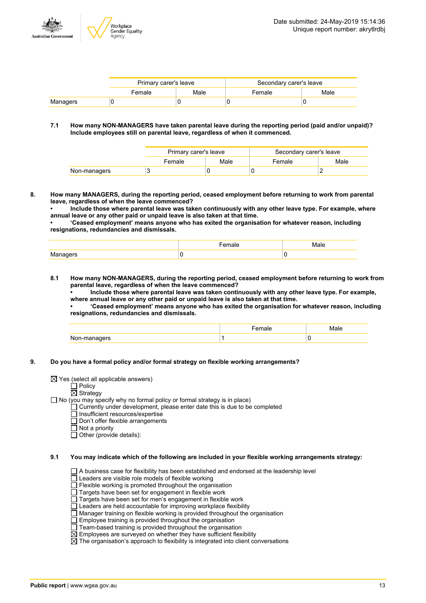

|          | Primary carer's leave |      | Secondary carer's leave |      |  |
|----------|-----------------------|------|-------------------------|------|--|
|          | Female                | Male | Female                  | Male |  |
| Managers |                       |      |                         |      |  |

#### **7.1 How many NON-MANAGERS have taken parental leave during the reporting period (paid and/or unpaid)? Include employees still on parental leave, regardless of when it commenced.**

|              | Primary carer's leave<br>Secondary carer's leave |      |        |      |
|--------------|--------------------------------------------------|------|--------|------|
|              | Female                                           | Male | Female | Male |
| Non-managers |                                                  |      |        |      |

**8. How many MANAGERS, during the reporting period, ceased employment before returning to work from parental leave, regardless of when the leave commenced?**

**• Include those where parental leave was taken continuously with any other leave type. For example, where annual leave or any other paid or unpaid leave is also taken at that time.**

**• 'Ceased employment' means anyone who has exited the organisation for whatever reason, including resignations, redundancies and dismissals.**

| K/I<br>ו בו ז<br> |  |
|-------------------|--|

**8.1 How many NON-MANAGERS, during the reporting period, ceased employment before returning to work from parental leave, regardless of when the leave commenced?**

**• Include those where parental leave was taken continuously with any other leave type. For example, where annual leave or any other paid or unpaid leave is also taken at that time.**

**• 'Ceased employment' means anyone who has exited the organisation for whatever reason, including resignations, redundancies and dismissals.**

|                         | $-$<br>חהו |   |
|-------------------------|------------|---|
| צופו<br><b>INON-NIE</b> |            | v |

**9. Do you have a formal policy and/or formal strategy on flexible working arrangements?**

 $\Box$  Policy

#### $\overline{\boxtimes}$  Strategy

 $\Box$  No (you may specify why no formal policy or formal strategy is in place)

- Currently under development, please enter date this is due to be completed
	- Insufficient resources/expertise
	- Don't offer flexible arrangements
	- $\overline{\Box}$  Not a priority

 $\overline{\Box}$  Other (provide details):

**9.1 You may indicate which of the following are included in your flexible working arrangements strategy:**

- A business case for flexibility has been established and endorsed at the leadership level
- $\Box$  Leaders are visible role models of flexible working
- $\Box$  Flexible working is promoted throughout the organisation
- □ Targets have been set for engagement in flexible work
- Targets have been set for men's engagement in flexible work
- Leaders are held accountable for improving workplace flexibility
- Manager training on flexible working is provided throughout the organisation
- $\Box$  Employee training is provided throughout the organisation
- $\Box$  Team-based training is provided throughout the organisation
- $\boxtimes$  Employees are surveyed on whether they have sufficient flexibility
- $\boxtimes$  The organisation's approach to flexibility is integrated into client conversations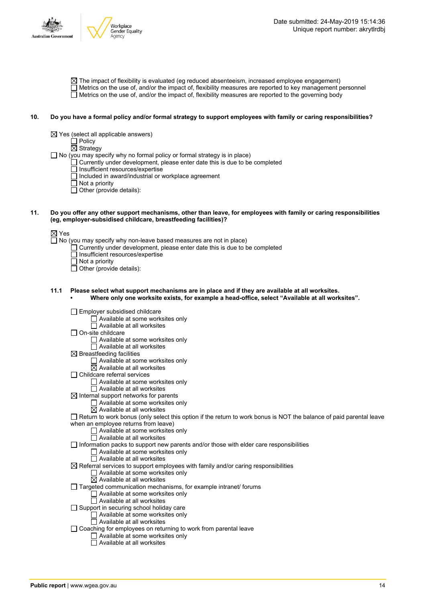

 $\boxtimes$  The impact of flexibility is evaluated (eg reduced absenteeism, increased employee engagement)  $\Box$  Metrics on the use of, and/or the impact of, flexibility measures are reported to key management personnel  $\Box$  Metrics on the use of, and/or the impact of, flexibility measures are reported to the governing body

#### 10. Do you have a formal policy and/or formal strategy to support employees with family or caring responsibilities?

 $\boxtimes$  Yes (select all applicable answers)

Policy

Strategy

 $\Box$  No (you may specify why no formal policy or formal strategy is in place)

Currently under development, please enter date this is due to be completed

Insufficient resources/expertise

- Included in award/industrial or workplace agreement
- $\Box$  Not a priority
- $\Box$  Other (provide details):
- 11. Do you offer any other support mechanisms, other than leave, for employees with family or caring responsibilities **(eg, employer-subsidised childcare, breastfeeding facilities)?**

⊠ Yes

 $\Box$  No (you may specify why non-leave based measures are not in place)

- $\Box$  Currently under development, please enter date this is due to be completed
- □ Insufficient resources/expertise
- $\Box$  Not a priority
- Other (provide details):

#### **11.1 Please select what support mechanisms are in place and if they are available at all worksites. • Where only one worksite exists, for example a head-office, select "Available at all worksites".**

| Employer subsidised childcare                                                                                       |
|---------------------------------------------------------------------------------------------------------------------|
| Available at some worksites only                                                                                    |
| Available at all worksites                                                                                          |
| On-site childcare                                                                                                   |
| Available at some worksites only                                                                                    |
| $\Box$ Available at all worksites                                                                                   |
| $\boxtimes$ Breastfeeding facilities                                                                                |
| $\Box$ Available at some worksites only                                                                             |
| $\boxtimes$ Available at all worksites                                                                              |
| Childcare referral services                                                                                         |
| $\Box$ Available at some worksites only                                                                             |
| Available at all worksites                                                                                          |
| $\boxtimes$ Internal support networks for parents                                                                   |
| $\Box$ Available at some worksites only                                                                             |
| $\boxtimes$ Available at all worksites                                                                              |
| Return to work bonus (only select this option if the return to work bonus is NOT the balance of paid parental leave |
| when an employee returns from leave)                                                                                |
| $\Box$ Available at some worksites only                                                                             |
| Available at all worksites                                                                                          |
| Information packs to support new parents and/or those with elder care responsibilities                              |
| $\Box$ Available at some worksites only                                                                             |
| □ Available at all worksites                                                                                        |
| $\boxtimes$ Referral services to support employees with family and/or caring responsibilities                       |
| $\Box$ Available at some worksites only                                                                             |
| $\boxtimes$ Available at all worksites                                                                              |
| Targeted communication mechanisms, for example intranet/ forums                                                     |
| Available at some worksites only                                                                                    |
| $\Box$ Available at all worksites                                                                                   |
| Support in securing school holiday care                                                                             |
| Available at some worksites only                                                                                    |
| $\Box$ Available at all worksites                                                                                   |
| Coaching for employees on returning to work from parental leave                                                     |
| Available at some worksites only                                                                                    |
| Available at all worksites                                                                                          |
|                                                                                                                     |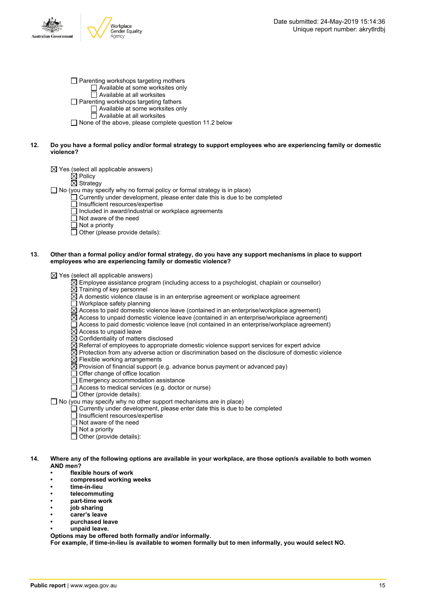

 $\Box$  Parenting workshops targeting mothers Available at some worksites only  $\overline{\Box}$  Available at all worksites □ Parenting workshops targeting fathers Available at some worksites only Available at all worksites

 $\Box$  None of the above, please complete question 11.2 below

#### 12. Do you have a formal policy and/or formal strategy to support employees who are experiencing family or domestic **violence?**

 $\boxtimes$  Yes (select all applicable answers)

**⊠** Policy

 $\boxtimes$  Strategy

 $\Box$  No (you may specify why no formal policy or formal strategy is in place)

- $\Box$  Currently under development, please enter date this is due to be completed
	- $\Box$  Insufficient resources/expertise
	- □ Included in award/industrial or workplace agreements
	- Not aware of the need
	- $\overline{\Box}$  Not a priority
	- $\Box$  Other (please provide details):

#### 13. Other than a formal policy and/or formal strategy, do you have any support mechanisms in place to support **employees who are experiencing family or domestic violence?**

 $\boxtimes$  Yes (select all applicable answers)

- $\boxtimes$  Employee assistance program (including access to a psychologist, chaplain or counsellor)
- $\overline{\boxtimes}$  Training of key personnel
- $\overline{\boxtimes}$  A domestic violence clause is in an enterprise agreement or workplace agreement
- $\Box$  Workplace safety planning
- $\overline{\boxtimes}$  Access to paid domestic violence leave (contained in an enterprise/workplace agreement)
- $\overline{\boxtimes}$  Access to unpaid domestic violence leave (contained in an enterprise/workplace agreement)
- $\Box$  Access to paid domestic violence leave (not contained in an enterprise/workplace agreement)
- $\boxtimes$  Access to unpaid leave
- $\boxtimes$  Confidentiality of matters disclosed
- $\boxtimes$  Referral of employees to appropriate domestic violence support services for expert advice
- $\overline{\boxtimes}$  Protection from any adverse action or discrimination based on the disclosure of domestic violence
- $\boxtimes$  Flexible working arrangements
- $\overline{\boxtimes}$  Provision of financial support (e.g. advance bonus payment or advanced pay)
- Offer change of office location
- $\overline{\Box}$  Emergency accommodation assistance
- $\Box$  Access to medical services (e.g. doctor or nurse)
- $\Box$  Other (provide details):
- $\Box$  No (you may specify why no other support mechanisms are in place)
	- $\Box$  Currently under development, please enter date this is due to be completed
	- $\Box$  Insufficient resources/expertise
	- $\Box$  Not aware of the need
	- $\overline{\Box}$  Not a priority
	- $\overline{\Box}$  Other (provide details):
- 14. Where any of the following options are available in your workplace, are those option/s available to both women **AND men?**
	- **• flexible hours of work**
	- **• compressed working weeks**
	- **• time-in-lieu**
	- **• telecommuting**
	- **• part-time work**
	- **• job sharing**
	- **• carer's leave**
	- **• purchased leave**
	- **• unpaid leave.**

**Options may be offered both formally and/or informally.**

**For example, if time-in-lieu is available to women formally but to men informally, you would select NO.**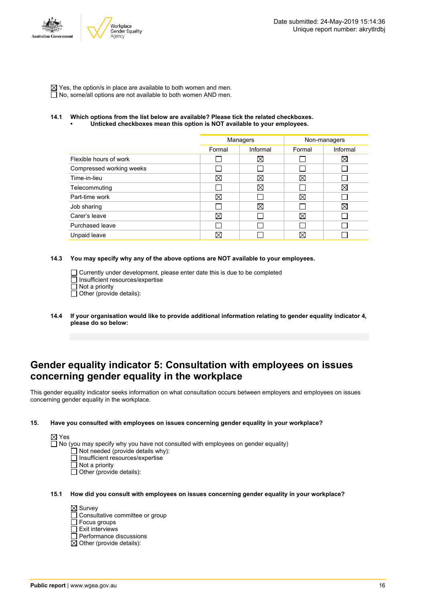

 $\boxtimes$  Yes, the option/s in place are available to both women and men.  $\overline{\Box}$  No, some/all options are not available to both women AND men.

#### **14.1 Which options from the list below are available? Please tick the related checkboxes. • Unticked checkboxes mean this option is NOT available to your employees.**

|                          | Managers    |             | Non-managers |             |
|--------------------------|-------------|-------------|--------------|-------------|
|                          | Formal      | Informal    | Formal       | Informal    |
| Flexible hours of work   |             | $\boxtimes$ |              | $\boxtimes$ |
| Compressed working weeks |             |             |              |             |
| Time-in-lieu             | X           | Χ           | X            |             |
| Telecommuting            |             | $\boxtimes$ |              | $\boxtimes$ |
| Part-time work           | ⊠           |             | X            |             |
| Job sharing              |             | $\boxtimes$ |              | ⊠           |
| Carer's leave            | $\boxtimes$ |             | $\boxtimes$  |             |
| Purchased leave          |             |             |              |             |
| Unpaid leave             | $\times$    |             | X            |             |

#### **14.3 You may specify why any of the above options are NOT available to your employees.**

 $\Box$  Currently under development, please enter date this is due to be completed  $\overline{\Pi}$  Insufficient resources/expertise  $\Box$  Not a priority

 $\Box$  Other (provide details):

**14.4 If your organisation would like to provide additional information relating to gender equality indicator 4, please do so below:**

### **Gender equality indicator 5: Consultation with employees on issues concerning gender equality in the workplace**

This gender equality indicator seeks information on what consultation occurs between employers and employees on issues concerning gender equality in the workplace.

#### **15. Have you consulted with employees on issues concerning gender equality in your workplace?**

|--|

 $\Box$  No (you may specify why you have not consulted with employees on gender equality)

- Not needed (provide details why):
- Insufficient resources/expertise
- $\overline{\Pi}$  Not a priority

#### **15.1 How did you consult with employees on issues concerning gender equality in your workplace?**

 $\boxtimes$  Survey □ Consultative committee or group  $\overline{\Box}$  Focus groups  $\overline{\Box}$  Exit interviews Performance discussions  $\boxtimes$  Other (provide details):

 $\Box$  Other (provide details):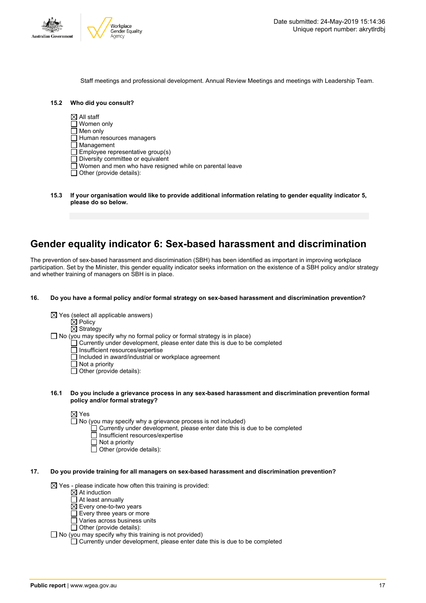

Staff meetings and professional development. Annual Review Meetings and meetings with Leadership Team.

| Who did you consult?<br>15.2 |
|------------------------------|
|------------------------------|

 $\boxtimes$  All staff

- Women only
- $\Box$  Men only
- $\Box$  Human resources managers
- Management
- Employee representative group(s)
- $\Box$  Diversity committee or equivalent
- Women and men who have resigned while on parental leave
- $\Box$  Other (provide details):
- **15.3 If your organisation would like to provide additional information relating to gender equality indicator 5, please do so below.**

### **Gender equality indicator 6: Sex-based harassment and discrimination**

The prevention of sex-based harassment and discrimination (SBH) has been identified as important in improving workplace participation. Set by the Minister, this gender equality indicator seeks information on the existence of a SBH policy and/or strategy and whether training of managers on SBH is in place.

#### **16. Do you have a formal policy and/or formal strategy on sex-based harassment and discrimination prevention?**

- $\boxtimes$  Yes (select all applicable answers)
	- $\boxtimes$  Policy

 $\boxtimes$  Strategy

 $\Box$  No (you may specify why no formal policy or formal strategy is in place)

- Currently under development, please enter date this is due to be completed
- Insufficient resources/expertise
- Included in award/industrial or workplace agreement
- $\overline{\Box}$  Not a priority
- $\Box$  Other (provide details):

#### **16.1 Do you include a grievance process in any sex-based harassment and discrimination prevention formal policy and/or formal strategy?**

 $\boxtimes$  Yes

- $\Box$  No (you may specify why a grievance process is not included)
	- $\Box$  Currently under development, please enter date this is due to be completed
	- □ Insufficient resources/expertise
	- Not a priority
	- $\overline{\Box}$  Other (provide details):

#### **17. Do you provide training for all managers on sex-based harassment and discrimination prevention?**

 $\boxtimes$  Yes - please indicate how often this training is provided:

- $\overrightarrow{\mathsf{\Omega}}$  At induction
- □ At least annually
- $\overline{\boxtimes}$  Every one-to-two vears
- $\overline{\Box}$  Every three years or more
- $\Box$  Varies across business units
- $\Box$  Other (provide details):
- $\Box$  No (you may specify why this training is not provided)
	- $\Box$  Currently under development, please enter date this is due to be completed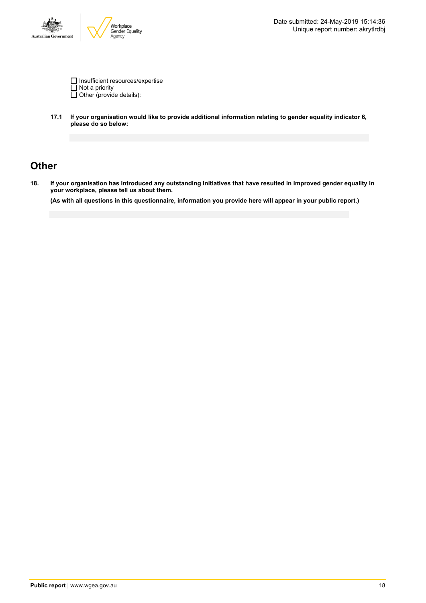

Insufficient resources/expertise Not a priority Other (provide details):

**17.1 If your organisation would like to provide additional information relating to gender equality indicator 6, please do so below:**

## **Other**

18. If your organisation has introduced any outstanding initiatives that have resulted in improved gender equality in **your workplace, please tell us about them.**

(As with all questions in this questionnaire, information you provide here will appear in your public report.)